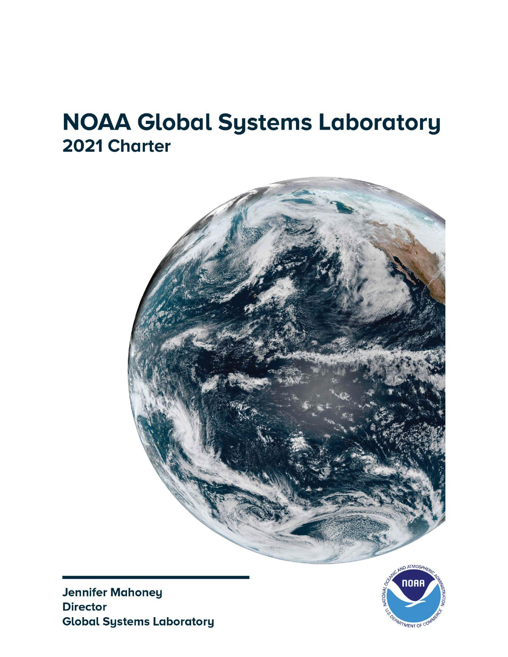# **NOAA Global Systems Laboratory** 2021 Charter



**Jennifer Mahoney Director Global Systems Laboratory** 

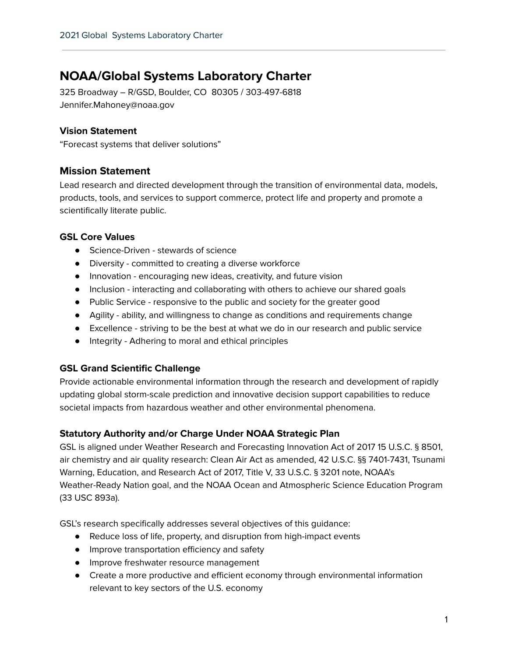# **NOAA/Global Systems Laboratory Charter**

325 Broadway – R/GSD, Boulder, CO 80305 / 303-497-6818 Jennifer.Mahoney@noaa.gov

# **Vision Statement**

"Forecast systems that deliver solutions"

# **Mission Statement**

Lead research and directed development through the transition of environmental data, models, products, tools, and services to support commerce, protect life and property and promote a scientifically literate public.

# **GSL Core Values**

- Science-Driven stewards of science
- Diversity committed to creating a diverse workforce
- Innovation encouraging new ideas, creativity, and future vision
- Inclusion interacting and collaborating with others to achieve our shared goals
- Public Service responsive to the public and society for the greater good
- Agility ability, and willingness to change as conditions and requirements change
- Excellence striving to be the best at what we do in our research and public service
- Integrity Adhering to moral and ethical principles

# **GSL Grand Scientific Challenge**

Provide actionable environmental information through the research and development of rapidly updating global storm-scale prediction and innovative decision support capabilities to reduce societal impacts from hazardous weather and other environmental phenomena.

# **Statutory Authority and/or Charge Under NOAA Strategic Plan**

GSL is aligned under Weather Research and Forecasting Innovation Act of 2017 15 U.S.C. § 8501, air chemistry and air quality research: Clean Air Act as amended, 42 U.S.C. §§ 7401-7431, Tsunami Warning, Education, and Research Act of 2017, Title V, 33 U.S.C. § 3201 note, NOAA's Weather-Ready Nation goal, and the NOAA Ocean and Atmospheric Science Education Program (33 USC 893a).

GSL's research specifically addresses several objectives of this guidance:

- Reduce loss of life, property, and disruption from high-impact events
- Improve transportation efficiency and safety
- Improve freshwater resource management
- Create a more productive and efficient economy through environmental information relevant to key sectors of the U.S. economy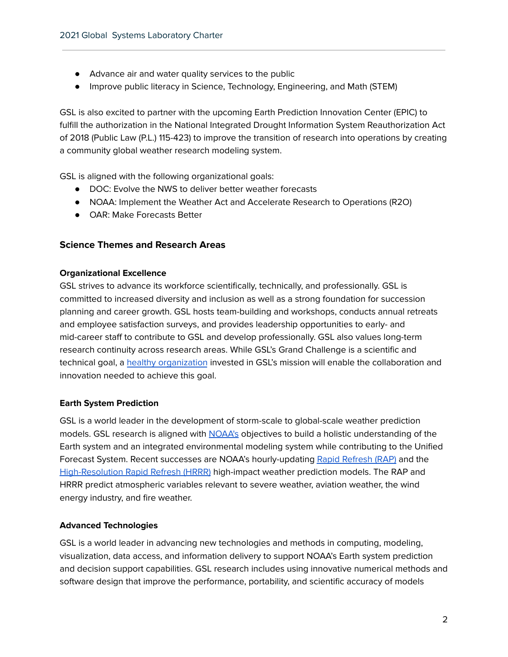- Advance air and water quality services to the public
- Improve public literacy in Science, Technology, Engineering, and Math (STEM)

GSL is also excited to partner with the upcoming Earth Prediction Innovation Center (EPIC) to fulfill the authorization in the National Integrated Drought Information System Reauthorization Act of 2018 (Public Law (P.L.) 115-423) to improve the transition of research into operations by creating a community global weather research modeling system.

GSL is aligned with the following organizational goals:

- DOC: Evolve the NWS to deliver better weather forecasts
- NOAA: Implement the Weather Act and Accelerate Research to Operations (R2O)
- OAR: Make Forecasts Better

# **Science Themes and Research Areas**

#### **Organizational Excellence**

GSL strives to advance its workforce scientifically, technically, and professionally. GSL is committed to increased diversity and inclusion as well as a strong foundation for succession planning and career growth. GSL hosts team-building and workshops, conducts annual retreats and employee satisfaction surveys, and provides leadership opportunities to early- and mid-career staff to contribute to GSL and develop professionally. GSL also values long-term research continuity across research areas. While GSL's Grand Challenge is a scientific and technical goal, a healthy [organization](https://gsl.noaa.gov/charts) invested in GSL's mission will enable the collaboration and innovation needed to achieve this goal.

# **Earth System Prediction**

GSL is a world leader in the development of storm-scale to global-scale weather prediction models. GSL research is aligned with [NOAA's](https://www.noaa.gov/) objectives to build a holistic understanding of the Earth system and an integrated environmental modeling system while contributing to the Unified Forecast System. Recent successes are NOAA's hourly-updating Rapid [Refresh](https://rapidrefresh.noaa.gov/) (RAP) and the [High-Resolution](https://rapidrefresh.noaa.gov/hrrr/) Rapid Refresh (HRRR) high-impact weather prediction models. The RAP and HRRR predict atmospheric variables relevant to severe weather, aviation weather, the wind energy industry, and fire weather.

# **Advanced Technologies**

GSL is a world leader in advancing new technologies and methods in computing, modeling, visualization, data access, and information delivery to support NOAA's Earth system prediction and decision support capabilities. GSL research includes using innovative numerical methods and software design that improve the performance, portability, and scientific accuracy of models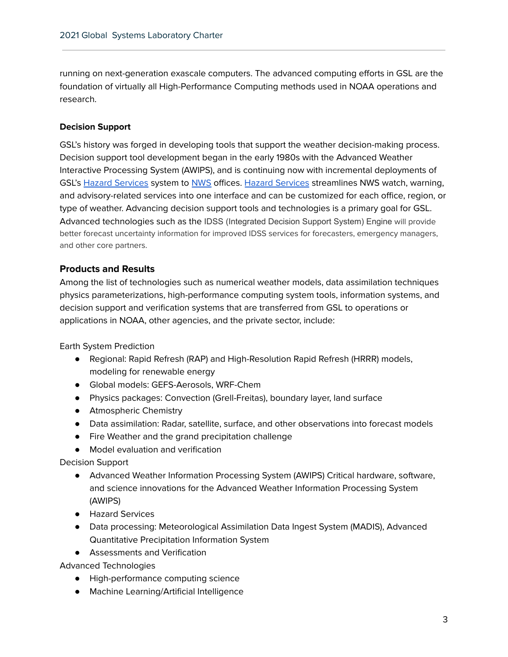running on next-generation exascale computers. The advanced computing efforts in GSL are the foundation of virtually all High-Performance Computing methods used in NOAA operations and research.

#### **Decision Support**

GSL's history was forged in developing tools that support the weather decision-making process. Decision support tool development began in the early 1980s with the Advanced Weather Interactive Processing System (AWIPS), and is continuing now with incremental deployments of GSL's Hazard [Services](https://esrl.noaa.gov/gsd/eds/hazardservices/) system to [NWS](https://www.weather.gov/) offices. Hazard [Services](https://esrl.noaa.gov/gsd/eds/hazardservices/) streamlines NWS watch, warning, and advisory-related services into one interface and can be customized for each office, region, or type of weather. Advancing decision support tools and technologies is a primary goal for GSL. Advanced technologies such as the IDSS (Integrated Decision Support System) Engine will provide better forecast uncertainty information for improved IDSS services for forecasters, emergency managers, and other core partners.

# **Products and Results**

Among the list of technologies such as numerical weather models, data assimilation techniques physics parameterizations, high-performance computing system tools, information systems, and decision support and verification systems that are transferred from GSL to operations or applications in NOAA, other agencies, and the private sector, include:

Earth System Prediction

- Regional: Rapid Refresh (RAP) and High-Resolution Rapid Refresh (HRRR) models, modeling for renewable energy
- Global models: GEFS-Aerosols, WRF-Chem
- Physics packages: Convection (Grell-Freitas), boundary layer, land surface
- Atmospheric Chemistry
- Data assimilation: Radar, satellite, surface, and other observations into forecast models
- Fire Weather and the grand precipitation challenge
- Model evaluation and verification

Decision Support

- Advanced Weather Information Processing System (AWIPS) Critical hardware, software, and science innovations for the Advanced Weather Information Processing System (AWIPS)
- Hazard Services
- Data processing: Meteorological Assimilation Data Ingest System (MADIS), Advanced Quantitative Precipitation Information System
- Assessments and Verification

Advanced Technologies

- High-performance computing science
- Machine Learning/Artificial Intelligence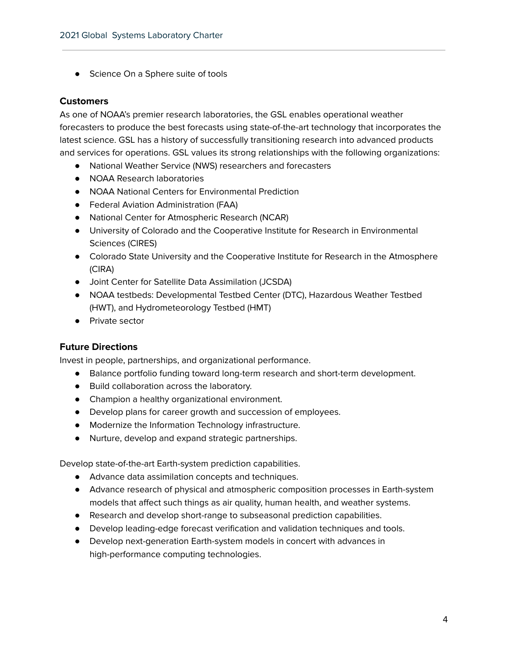● Science On a Sphere suite of tools

#### **Customers**

As one of NOAA's premier research laboratories, the GSL enables operational weather forecasters to produce the best forecasts using state-of-the-art technology that incorporates the latest science. GSL has a history of successfully transitioning research into advanced products and services for operations. GSL values its strong relationships with the following organizations:

- National Weather Service (NWS) researchers and forecasters
- NOAA Research laboratories
- NOAA National Centers for Environmental Prediction
- Federal Aviation Administration (FAA)
- National Center for Atmospheric Research (NCAR)
- University of Colorado and the Cooperative Institute for Research in Environmental Sciences (CIRES)
- Colorado State University and the Cooperative Institute for Research in the Atmosphere (CIRA)
- Joint Center for Satellite Data Assimilation (JCSDA)
- NOAA testbeds: Developmental Testbed Center (DTC), Hazardous Weather Testbed (HWT), and Hydrometeorology Testbed (HMT)
- Private sector

# **Future Directions**

Invest in people, partnerships, and organizational performance.

- Balance portfolio funding toward long-term research and short-term development.
- Build collaboration across the laboratory.
- Champion a healthy organizational environment.
- Develop plans for career growth and succession of employees.
- Modernize the Information Technology infrastructure.
- Nurture, develop and expand strategic partnerships.

Develop state-of-the-art Earth-system prediction capabilities.

- Advance data assimilation concepts and techniques.
- Advance research of physical and atmospheric composition processes in Earth-system models that affect such things as air quality, human health, and weather systems.
- Research and develop short-range to subseasonal prediction capabilities.
- Develop leading-edge forecast verification and validation techniques and tools.
- Develop next-generation Earth-system models in concert with advances in high-performance computing technologies.